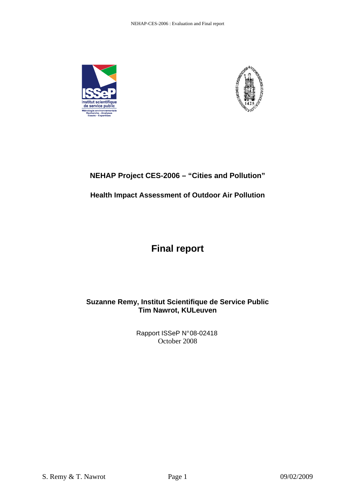



# **NEHAP Project CES-2006 – "Cities and Pollution"**

# **Health Impact Assessment of Outdoor Air Pollution**

# **Final report**

# **Suzanne Remy, Institut Scientifique de Service Public Tim Nawrot, KULeuven**

Rapport ISSeP N° 08-02418 October 2008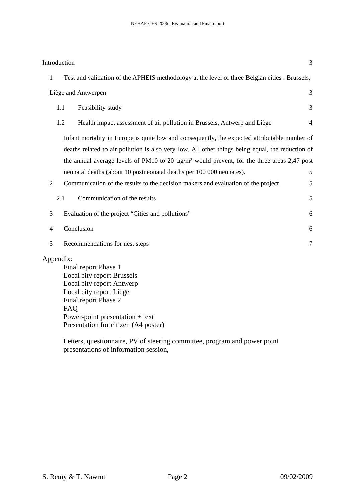|                                                                                                             | Introduction |                                                                                                  | 3              |
|-------------------------------------------------------------------------------------------------------------|--------------|--------------------------------------------------------------------------------------------------|----------------|
| $\mathbf{1}$                                                                                                |              | Test and validation of the APHEIS methodology at the level of three Belgian cities : Brussels,   |                |
|                                                                                                             |              | Liège and Antwerpen                                                                              | 3              |
|                                                                                                             | 1.1          | Feasibility study                                                                                | 3              |
|                                                                                                             | 1.2          | Health impact assessment of air pollution in Brussels, Antwerp and Liège                         | $\overline{4}$ |
| Infant mortality in Europe is quite low and consequently, the expected attributable number of               |              |                                                                                                  |                |
|                                                                                                             |              | deaths related to air pollution is also very low. All other things being equal, the reduction of |                |
| the annual average levels of PM10 to 20 $\mu$ g/m <sup>3</sup> would prevent, for the three areas 2,47 post |              |                                                                                                  |                |
|                                                                                                             |              | neonatal deaths (about 10 postneonatal deaths per 100 000 neonates).                             | 5              |
| $\overline{2}$                                                                                              |              | Communication of the results to the decision makers and evaluation of the project                | 5              |
|                                                                                                             | 2.1          | Communication of the results                                                                     | 5              |
| 3                                                                                                           |              | Evaluation of the project "Cities and pollutions"                                                | 6              |
| $\overline{4}$                                                                                              |              | Conclusion                                                                                       | 6              |
| 5                                                                                                           |              | Recommendations for nest steps                                                                   | $\tau$         |
|                                                                                                             | Appendix:    |                                                                                                  |                |
|                                                                                                             |              | Final report Phase 1                                                                             |                |
|                                                                                                             |              | Local city report Brussels                                                                       |                |
|                                                                                                             |              | Local city report Antwerp                                                                        |                |
|                                                                                                             |              | Local city report Liège                                                                          |                |
|                                                                                                             |              | Final report Phase 2                                                                             |                |
|                                                                                                             | <b>FAO</b>   |                                                                                                  |                |
|                                                                                                             |              | Power-point presentation $+$ text                                                                |                |
|                                                                                                             |              | Presentation for citizen (A4 poster)                                                             |                |

Letters, questionnaire, PV of steering committee, program and power point presentations of information session,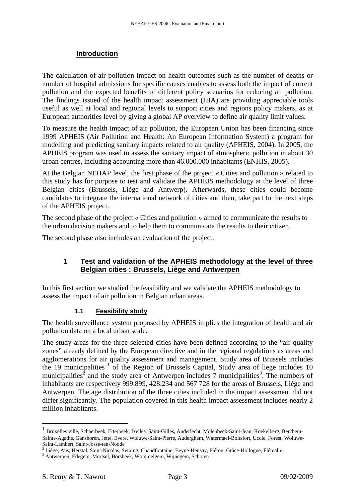#### **Introduction**

The calculation of air pollution impact on health outcomes such as the number of deaths or number of hospital admissions for specific causes enables to assess both the impact of current pollution and the expected benefits of different policy scenarios for reducing air pollution. The findings issued of the health impact assessment (HIA) are providing appreciable tools useful as well at local and regional levels to support cities and regions policy makers, as at European authorities level by giving a global AP overview to define air quality limit values.

To measure the health impact of air pollution, the European Union has been financing since 1999 APHEIS (Air Pollution and Health: An European Information System) a program for modelling and predicting sanitary impacts related to air quality (APHEIS, 2004). In 2005, the APHEIS program was used to assess the sanitary impact of atmospheric pollution in about 30 urban centres, including accounting more than 46.000.000 inhabitants (ENHIS, 2005).

At the Belgian NEHAP level, the first phase of the project « Cities and pollution » related to this study has for purpose to test and validate the APHEIS methodology at the level of three Belgian cities (Brussels, Liège and Antwerp). Afterwards, these cities could become candidates to integrate the international network of cities and then, take part to the next steps of the APHEIS project.

The second phase of the project « Cities and pollution » aimed to communicate the results to the urban decision makers and to help them to communicate the results to their citizen.

The second phase also includes an evaluation of the project.

#### **1 Test and validation of the APHEIS methodology at the level of three Belgian cities : Brussels, Liège and Antwerpen**

In this first section we studied the feasibility and we validate the APHEIS methodology to assess the impact of air pollution in Belgian urban areas.

#### **1.1 Feasibility study**

The health surveillance system proposed by APHEIS implies the integration of health and air pollution data on a local urban scale.

The study areas for the three selected cities have been defined according to the "air quality zones" already defined by the European directive and in the regional regulations as areas and agglomerations for air quality assessment and management. Study area of Brussels includes the 19 municipalities<sup>1</sup> of the Region of Brussels Capital, Study area of liege includes 10 municipalities<sup>2</sup> and the study area of Antwerpen includes 7 municipalities<sup>3</sup>. The numbers of inhabitants are respectively 999.899, 428.234 and 567 728 for the areas of Brussels, Liège and Antwerpen. The age distribution of the three cities included in the impact assessment did not differ significantly. The population covered in this health impact assessment includes nearly 2 million inhabitants.

<u>.</u>

<sup>1</sup> Bruxelles ville, Schaerbeek, Etterbeek, Ixelles, Saint-Gilles, Anderlecht, Molenbeek-Saint-Jean, Koekelberg, Berchem-Sainte-Agathe, Ganshoren, Jette, Evere, Woluwe-Saint-Pierre, Auderghem, Watermael-Boitsfort, Uccle, Forest, Woluwe-Saint-Lambert, Saint-Josse-ten-Noode

<sup>&</sup>lt;sup>2</sup> Liège, Ans, Herstal, Saint-Nicolas, Seraing, Chaudfontaine, Beyne-Heusay, Fléron, Grâce-Hollogne, Flémalle

<sup>3</sup> Antwerpen, Edegem, Mortsel, Borsbeek, Wommelgem, Wijnegem, Schoten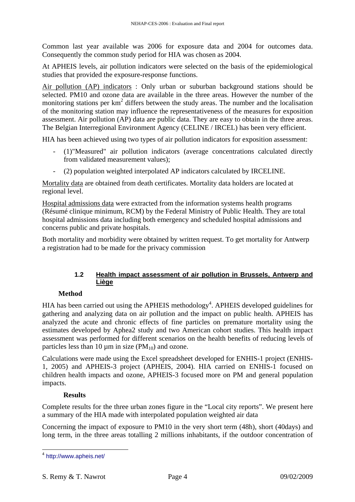Common last year available was 2006 for exposure data and 2004 for outcomes data. Consequently the common study period for HIA was chosen as 2004.

At APHEIS levels, air pollution indicators were selected on the basis of the epidemiological studies that provided the exposure-response functions.

Air pollution (AP) indicators : Only urban or suburban background stations should be selected. PM10 and ozone data are available in the three areas. However the number of the monitoring stations per  $km^2$  differs between the study areas. The number and the localisation of the monitoring station may influence the representativeness of the measures for exposition assessment. Air pollution (AP) data are public data. They are easy to obtain in the three areas. The Belgian Interregional Environment Agency (CELINE / IRCEL) has been very efficient.

HIA has been achieved using two types of air pollution indicators for exposition assessment:

- (1)"Measured" air pollution indicators (average concentrations calculated directly from validated measurement values);
- (2) population weighted interpolated AP indicators calculated by IRCELINE.

Mortality data are obtained from death certificates. Mortality data holders are located at regional level.

Hospital admissions data were extracted from the information systems health programs (Résumé clinique minimum, RCM) by the Federal Ministry of Public Health. They are total hospital admissions data including both emergency and scheduled hospital admissions and concerns public and private hospitals.

Both mortality and morbidity were obtained by written request. To get mortality for Antwerp a registration had to be made for the privacy commission

#### **1.2 Health impact assessment of air pollution in Brussels, Antwerp and Liège**

#### **Method**

HIA has been carried out using the APHEIS methodology<sup>4</sup>. APHEIS developed guidelines for gathering and analyzing data on air pollution and the impact on public health. APHEIS has analyzed the acute and chronic effects of fine particles on premature mortality using the estimates developed by Aphea2 study and two American cohort studies. This health impact assessment was performed for different scenarios on the health benefits of reducing levels of particles less than 10  $\mu$ m in size (PM<sub>10</sub>) and ozone.

Calculations were made using the Excel spreadsheet developed for ENHIS-1 project (ENHIS-1, 2005) and APHEIS-3 project (APHEIS, 2004). HIA carried on ENHIS-1 focused on children health impacts and ozone, APHEIS-3 focused more on PM and general population impacts.

#### **Results**

Complete results for the three urban zones figure in the "Local city reports". We present here a summary of the HIA made with interpolated population weighted air data

Concerning the impact of exposure to PM10 in the very short term (48h), short (40days) and long term, in the three areas totalling 2 millions inhabitants, if the outdoor concentration of

<sup>-&</sup>lt;br><sup>4</sup> http://www.apheis.net/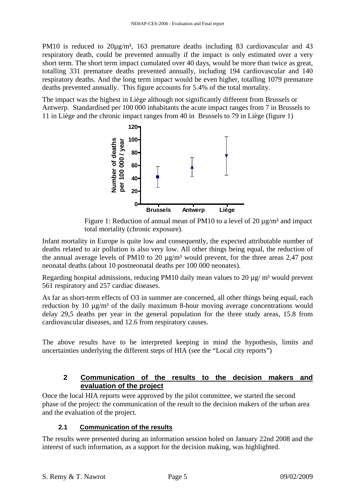PM10 is reduced to  $20\mu g/m^3$ , 163 premature deaths including 83 cardiovascular and 43 respiratory death, could be prevented annually if the impact is only estimated over a very short term. The short term impact cumulated over 40 days, would be more than twice as great, totalling 331 premature deaths prevented annually, including 194 cardiovascular and 140 respiratory deaths. And the long term impact would be even higher, totalling 1079 premature deaths prevented annually. This figure accounts for 5.4% of the total mortality.

The impact was the highest in Liège although not significantly different from Brussels or Antwerp. Standardised per 100 000 inhabitants the acute impact ranges from 7 in Brussels to 11 in Liège and the chronic impact ranges from 40 in Brussels to 79 in Liège (figure 1)



Figure 1: Reduction of annual mean of PM10 to a level of 20  $\mu$ g/m<sup>3</sup> and impact total mortality (chronic exposure).

Infant mortality in Europe is quite low and consequently, the expected attributable number of deaths related to air pollution is also very low. All other things being equal, the reduction of the annual average levels of PM10 to 20  $\mu$ g/m<sup>3</sup> would prevent, for the three areas 2,47 post neonatal deaths (about 10 postneonatal deaths per 100 000 neonates).

Regarding hospital admissions, reducing PM10 daily mean values to 20  $\mu$ g/ m<sup>3</sup> would prevent 561 respiratory and 257 cardiac diseases.

As far as short-term effects of O3 in summer are concerned, all other things being equal, each reduction by 10  $\mu$ g/m<sup>3</sup> of the daily maximum 8-hour moving average concentrations would delay 29,5 deaths per year in the general population for the three study areas, 15.8 from cardiovascular diseases, and 12.6 from respiratory causes.

The above results have to be interpreted keeping in mind the hypothesis, limits and uncertainties underlying the different steps of HIA (see the "Local city reports")

# **2 Communication of the results to the decision makers and evaluation of the project**

Once the local HIA reports were approved by the pilot committee, we started the second phase of the project: the communication of the result to the decision makers of the urban area and the evaluation of the project.

# **2.1 Communication of the results**

The results were presented during an information session holed on January 22nd 2008 and the interest of such information, as a support for the decision making, was highlighted.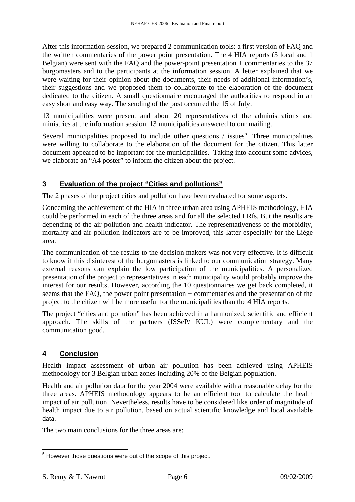After this information session, we prepared 2 communication tools: a first version of FAQ and the written commentaries of the power point presentation. The 4 HIA reports (3 local and 1 Belgian) were sent with the FAQ and the power-point presentation + commentaries to the 37 burgomasters and to the participants at the information session. A letter explained that we were waiting for their opinion about the documents, their needs of additional information's, their suggestions and we proposed them to collaborate to the elaboration of the document dedicated to the citizen. A small questionnaire encouraged the authorities to respond in an easy short and easy way. The sending of the post occurred the 15 of July.

13 municipalities were present and about 20 representatives of the administrations and ministries at the information session. 13 municipalities answered to our mailing.

Several municipalities proposed to include other questions  $\ell$  issues<sup>5</sup>. Three municipalities were willing to collaborate to the elaboration of the document for the citizen. This latter document appeared to be important for the municipalities. Taking into account some advices, we elaborate an "A4 poster" to inform the citizen about the project.

# **3 Evaluation of the project "Cities and pollutions"**

The 2 phases of the project cities and pollution have been evaluated for some aspects.

Concerning the achievement of the HIA in three urban area using APHEIS methodology, HIA could be performed in each of the three areas and for all the selected ERfs. But the results are depending of the air pollution and health indicator. The representativeness of the morbidity, mortality and air pollution indicators are to be improved, this latter especially for the Liège area.

The communication of the results to the decision makers was not very effective. It is difficult to know if this disinterest of the burgomasters is linked to our communication strategy. Many external reasons can explain the low participation of the municipalities. A personalized presentation of the project to representatives in each municipality would probably improve the interest for our results. However, according the 10 questionnaires we get back completed, it seems that the FAQ, the power point presentation + commentaries and the presentation of the project to the citizen will be more useful for the municipalities than the 4 HIA reports.

The project "cities and pollution" has been achieved in a harmonized, scientific and efficient approach. The skills of the partners (ISSeP/ KUL) were complementary and the communication good.

# **4 Conclusion**

Health impact assessment of urban air pollution has been achieved using APHEIS methodology for 3 Belgian urban zones including 20% of the Belgian population.

Health and air pollution data for the year 2004 were available with a reasonable delay for the three areas. APHEIS methodology appears to be an efficient tool to calculate the health impact of air pollution. Nevertheless, results have to be considered like order of magnitude of health impact due to air pollution, based on actual scientific knowledge and local available data.

The two main conclusions for the three areas are:

 5 However those questions were out of the scope of this project.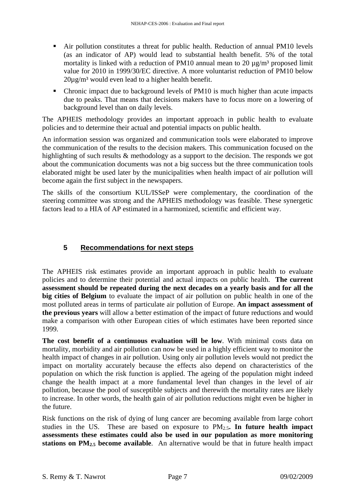- Air pollution constitutes a threat for public health. Reduction of annual PM10 levels (as an indicator of AP) would lead to substantial health benefit. 5% of the total mortality is linked with a reduction of PM10 annual mean to 20  $\mu$ g/m<sup>3</sup> proposed limit value for 2010 in 1999/30/EC directive. A more voluntarist reduction of PM10 below  $20\mu$ g/m<sup>3</sup> would even lead to a higher health benefit.
- Chronic impact due to background levels of PM10 is much higher than acute impacts due to peaks. That means that decisions makers have to focus more on a lowering of background level than on daily levels.

The APHEIS methodology provides an important approach in public health to evaluate policies and to determine their actual and potential impacts on public health.

An information session was organized and communication tools were elaborated to improve the communication of the results to the decision makers. This communication focused on the highlighting of such results & methodology as a support to the decision. The responds we got about the communication documents was not a big success but the three communication tools elaborated might be used later by the municipalities when health impact of air pollution will become again the first subject in the newspapers.

The skills of the consortium KUL/ISSeP were complementary, the coordination of the steering committee was strong and the APHEIS methodology was feasible. These synergetic factors lead to a HIA of AP estimated in a harmonized, scientific and efficient way.

### **5 Recommendations for next steps**

The APHEIS risk estimates provide an important approach in public health to evaluate policies and to determine their potential and actual impacts on public health. **The current assessment should be repeated during the next decades on a yearly basis and for all the big cities of Belgium** to evaluate the impact of air pollution on public health in one of the most polluted areas in terms of particulate air pollution of Europe. **An impact assessment of the previous years** will allow a better estimation of the impact of future reductions and would make a comparison with other European cities of which estimates have been reported since 1999.

**The cost benefit of a continuous evaluation will be low**. With minimal costs data on mortality, morbidity and air pollution can now be used in a highly efficient way to monitor the health impact of changes in air pollution. Using only air pollution levels would not predict the impact on mortality accurately because the effects also depend on characteristics of the population on which the risk function is applied. The ageing of the population might indeed change the health impact at a more fundamental level than changes in the level of air pollution, because the pool of susceptible subjects and therewith the mortality rates are likely to increase. In other words, the health gain of air pollution reductions might even be higher in the future.

Risk functions on the risk of dying of lung cancer are becoming available from large cohort studies in the US. These are based on exposure to PM2.5**. In future health impact assessments these estimates could also be used in our population as more monitoring stations on PM2.5 become available**. An alternative would be that in future health impact